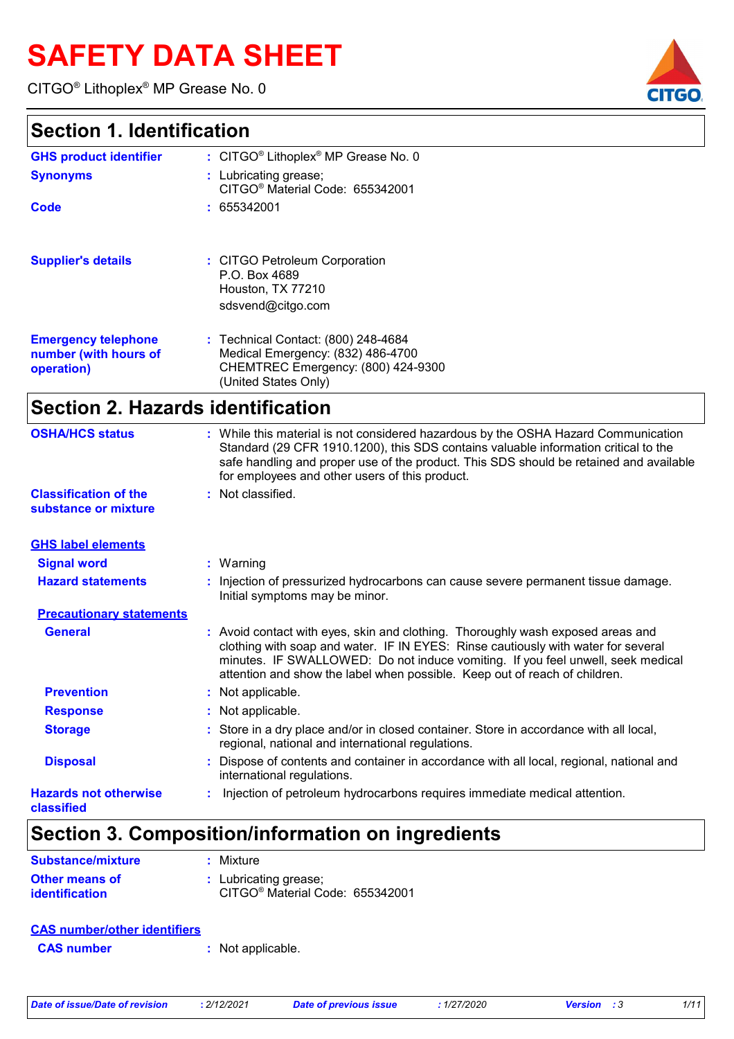# **SAFETY DATA SHEET**

CITGO® Lithoplex® MP Grease No. 0



### **Section 1. Identification**

| Section 2. Hazards identification                                 |                                                                                                                                        |  |
|-------------------------------------------------------------------|----------------------------------------------------------------------------------------------------------------------------------------|--|
| <b>Emergency telephone</b><br>number (with hours of<br>operation) | : Technical Contact: (800) 248-4684<br>Medical Emergency: (832) 486-4700<br>CHEMTREC Emergency: (800) 424-9300<br>(United States Only) |  |
| <b>Supplier's details</b>                                         | : CITGO Petroleum Corporation<br>P.O. Box 4689<br>Houston, TX 77210<br>sdsvend@citgo.com                                               |  |
| Code                                                              | : 655342001                                                                                                                            |  |
| <b>Synonyms</b>                                                   | : Lubricating grease;<br>CITGO <sup>®</sup> Material Code: 655342001                                                                   |  |
| <b>GHS product identifier</b>                                     | : CITGO <sup>®</sup> Lithoplex <sup>®</sup> MP Grease No. 0                                                                            |  |
|                                                                   |                                                                                                                                        |  |

| <b>OSHA/HCS status</b>                               | : While this material is not considered hazardous by the OSHA Hazard Communication<br>Standard (29 CFR 1910.1200), this SDS contains valuable information critical to the<br>safe handling and proper use of the product. This SDS should be retained and available<br>for employees and other users of this product.                 |
|------------------------------------------------------|---------------------------------------------------------------------------------------------------------------------------------------------------------------------------------------------------------------------------------------------------------------------------------------------------------------------------------------|
| <b>Classification of the</b><br>substance or mixture | : Not classified.                                                                                                                                                                                                                                                                                                                     |
| <b>GHS label elements</b>                            |                                                                                                                                                                                                                                                                                                                                       |
| <b>Signal word</b>                                   | $:$ Warning                                                                                                                                                                                                                                                                                                                           |
| <b>Hazard statements</b>                             | : Injection of pressurized hydrocarbons can cause severe permanent tissue damage.<br>Initial symptoms may be minor.                                                                                                                                                                                                                   |
| <b>Precautionary statements</b>                      |                                                                                                                                                                                                                                                                                                                                       |
| <b>General</b>                                       | : Avoid contact with eyes, skin and clothing. Thoroughly wash exposed areas and<br>clothing with soap and water. IF IN EYES: Rinse cautiously with water for several<br>minutes. IF SWALLOWED: Do not induce vomiting. If you feel unwell, seek medical<br>attention and show the label when possible. Keep out of reach of children. |
| <b>Prevention</b>                                    | : Not applicable.                                                                                                                                                                                                                                                                                                                     |
| <b>Response</b>                                      | : Not applicable.                                                                                                                                                                                                                                                                                                                     |
| <b>Storage</b>                                       | : Store in a dry place and/or in closed container. Store in accordance with all local,<br>regional, national and international regulations.                                                                                                                                                                                           |
| <b>Disposal</b>                                      | : Dispose of contents and container in accordance with all local, regional, national and<br>international regulations.                                                                                                                                                                                                                |
| <b>Hazards not otherwise</b><br>classified           | Injection of petroleum hydrocarbons requires immediate medical attention.                                                                                                                                                                                                                                                             |

# **Section 3. Composition/information on ingredients**

| <b>Substance/mixture</b>         | : Mixture                                                            |  |
|----------------------------------|----------------------------------------------------------------------|--|
| Other means of<br>identification | : Lubricating grease;<br>CITGO <sup>®</sup> Material Code: 655342001 |  |

| <b>CAS number/other identifiers</b> |                   |
|-------------------------------------|-------------------|
| <b>CAS number</b>                   | : Not applicable. |

| 5 number | Not applica |
|----------|-------------|
|          |             |

| Date of issue/Date of revision | . 2/12/2021 | Date of previous issue | 1/27/2020 | <b>Version</b> : 3 | 1/11 |
|--------------------------------|-------------|------------------------|-----------|--------------------|------|
|                                |             |                        |           |                    |      |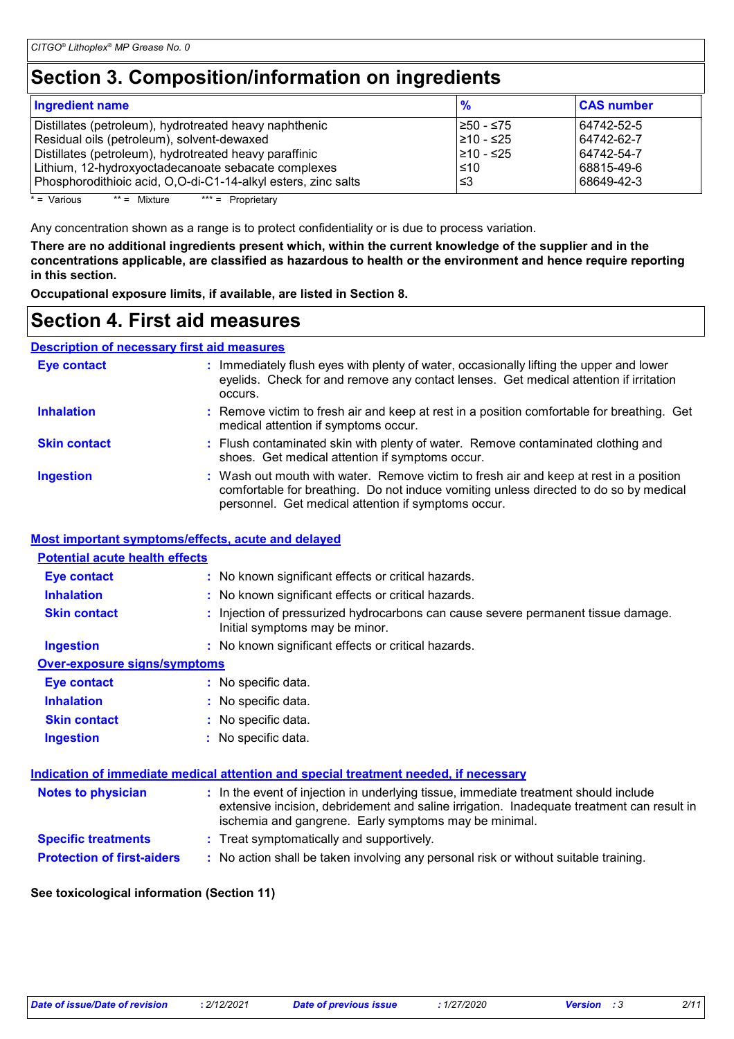### **Section 3. Composition/information on ingredients**

| <b>Ingredient name</b>                                        | $\frac{9}{6}$   | <b>CAS number</b> |
|---------------------------------------------------------------|-----------------|-------------------|
| Distillates (petroleum), hydrotreated heavy naphthenic        | I≥50 - ≤75      | 64742-52-5        |
| Residual oils (petroleum), solvent-dewaxed                    | 210 - ≤25       | 64742-62-7        |
| Distillates (petroleum), hydrotreated heavy paraffinic        | $\geq 10 - 525$ | 64742-54-7        |
| Lithium, 12-hydroxyoctadecanoate sebacate complexes           | ≤10             | 68815-49-6        |
| Phosphorodithioic acid, O,O-di-C1-14-alkyl esters, zinc salts | ՝≤3             | 68649-42-3        |

 $* = \text{Various}$  \*\* = Mixture \*\*\* = Proprietary

Any concentration shown as a range is to protect confidentiality or is due to process variation.

**There are no additional ingredients present which, within the current knowledge of the supplier and in the concentrations applicable, are classified as hazardous to health or the environment and hence require reporting in this section.**

**Occupational exposure limits, if available, are listed in Section 8.**

### **Section 4. First aid measures**

#### **Description of necessary first aid measures**

| <b>Eye contact</b>  | : Immediately flush eyes with plenty of water, occasionally lifting the upper and lower<br>eyelids. Check for and remove any contact lenses. Get medical attention if irritation<br>occurs.                                            |
|---------------------|----------------------------------------------------------------------------------------------------------------------------------------------------------------------------------------------------------------------------------------|
| <b>Inhalation</b>   | : Remove victim to fresh air and keep at rest in a position comfortable for breathing. Get<br>medical attention if symptoms occur.                                                                                                     |
| <b>Skin contact</b> | : Flush contaminated skin with plenty of water. Remove contaminated clothing and<br>shoes. Get medical attention if symptoms occur.                                                                                                    |
| <b>Ingestion</b>    | : Wash out mouth with water. Remove victim to fresh air and keep at rest in a position<br>comfortable for breathing. Do not induce vomiting unless directed to do so by medical<br>personnel. Get medical attention if symptoms occur. |

#### **Most important symptoms/effects, acute and delayed**

| <b>Potential acute health effects</b> |                                                                                                                     |
|---------------------------------------|---------------------------------------------------------------------------------------------------------------------|
| <b>Eye contact</b>                    | : No known significant effects or critical hazards.                                                                 |
| <b>Inhalation</b>                     | : No known significant effects or critical hazards.                                                                 |
| <b>Skin contact</b>                   | : Injection of pressurized hydrocarbons can cause severe permanent tissue damage.<br>Initial symptoms may be minor. |
| <b>Ingestion</b>                      | : No known significant effects or critical hazards.                                                                 |
| <b>Over-exposure signs/symptoms</b>   |                                                                                                                     |
| <b>Eye contact</b>                    | : No specific data.                                                                                                 |
| <b>Inhalation</b>                     | : No specific data.                                                                                                 |
| <b>Skin contact</b>                   | : No specific data.                                                                                                 |
| <b>Ingestion</b>                      | : No specific data.                                                                                                 |
|                                       | <u>Indication of immediate medical attention and special treatment needed, if necessary</u>                         |
| <b>Notes to physician</b>             | : In the event of injection in underlying tissue, immediate treatment should include                                |

|                                   | extensive incision, debridement and saline irrigation. Inadequate treatment can result in |
|-----------------------------------|-------------------------------------------------------------------------------------------|
|                                   | ischemia and gangrene. Early symptoms may be minimal.                                     |
| <b>Specific treatments</b>        | : Treat symptomatically and supportively.                                                 |
| <b>Protection of first-aiders</b> | : No action shall be taken involving any personal risk or without suitable training.      |

#### **See toxicological information (Section 11)**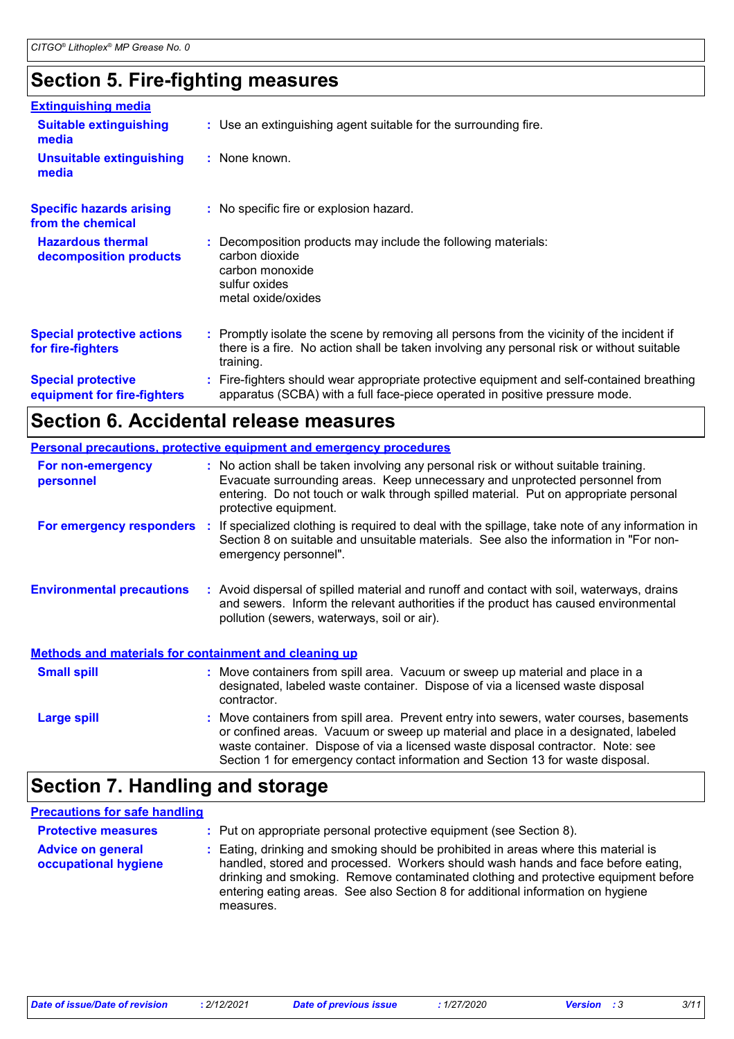### **Section 5. Fire-fighting measures**

| <b>Extinguishing media</b>                               |                                                                                                                                                                                                     |
|----------------------------------------------------------|-----------------------------------------------------------------------------------------------------------------------------------------------------------------------------------------------------|
| <b>Suitable extinguishing</b><br>media                   | : Use an extinguishing agent suitable for the surrounding fire.                                                                                                                                     |
| <b>Unsuitable extinguishing</b><br>media                 | : None known.                                                                                                                                                                                       |
| <b>Specific hazards arising</b><br>from the chemical     | : No specific fire or explosion hazard.                                                                                                                                                             |
| <b>Hazardous thermal</b><br>decomposition products       | Decomposition products may include the following materials:<br>carbon dioxide<br>carbon monoxide<br>sulfur oxides<br>metal oxide/oxides                                                             |
| <b>Special protective actions</b><br>for fire-fighters   | : Promptly isolate the scene by removing all persons from the vicinity of the incident if<br>there is a fire. No action shall be taken involving any personal risk or without suitable<br>training. |
| <b>Special protective</b><br>equipment for fire-fighters | Fire-fighters should wear appropriate protective equipment and self-contained breathing<br>apparatus (SCBA) with a full face-piece operated in positive pressure mode.                              |

### **Section 6. Accidental release measures**

|                                                              | <b>Personal precautions, protective equipment and emergency procedures</b>                                                                                                                                                                                                                                                                       |
|--------------------------------------------------------------|--------------------------------------------------------------------------------------------------------------------------------------------------------------------------------------------------------------------------------------------------------------------------------------------------------------------------------------------------|
| For non-emergency<br>personnel                               | : No action shall be taken involving any personal risk or without suitable training.<br>Evacuate surrounding areas. Keep unnecessary and unprotected personnel from<br>entering. Do not touch or walk through spilled material. Put on appropriate personal<br>protective equipment.                                                             |
| For emergency responders :                                   | If specialized clothing is required to deal with the spillage, take note of any information in<br>Section 8 on suitable and unsuitable materials. See also the information in "For non-<br>emergency personnel".                                                                                                                                 |
| <b>Environmental precautions</b>                             | : Avoid dispersal of spilled material and runoff and contact with soil, waterways, drains<br>and sewers. Inform the relevant authorities if the product has caused environmental<br>pollution (sewers, waterways, soil or air).                                                                                                                  |
| <b>Methods and materials for containment and cleaning up</b> |                                                                                                                                                                                                                                                                                                                                                  |
| <b>Small spill</b>                                           | : Move containers from spill area. Vacuum or sweep up material and place in a<br>designated, labeled waste container. Dispose of via a licensed waste disposal<br>contractor.                                                                                                                                                                    |
| <b>Large spill</b>                                           | : Move containers from spill area. Prevent entry into sewers, water courses, basements<br>or confined areas. Vacuum or sweep up material and place in a designated, labeled<br>waste container. Dispose of via a licensed waste disposal contractor. Note: see<br>Section 1 for emergency contact information and Section 13 for waste disposal. |

# **Section 7. Handling and storage**

### **Precautions for safe handling**

| <b>Protective measures</b>                       | : Put on appropriate personal protective equipment (see Section 8).                                                                                                                                                                                                                                                                                           |
|--------------------------------------------------|---------------------------------------------------------------------------------------------------------------------------------------------------------------------------------------------------------------------------------------------------------------------------------------------------------------------------------------------------------------|
| <b>Advice on general</b><br>occupational hygiene | : Eating, drinking and smoking should be prohibited in areas where this material is<br>handled, stored and processed. Workers should wash hands and face before eating,<br>drinking and smoking. Remove contaminated clothing and protective equipment before<br>entering eating areas. See also Section 8 for additional information on hygiene<br>measures. |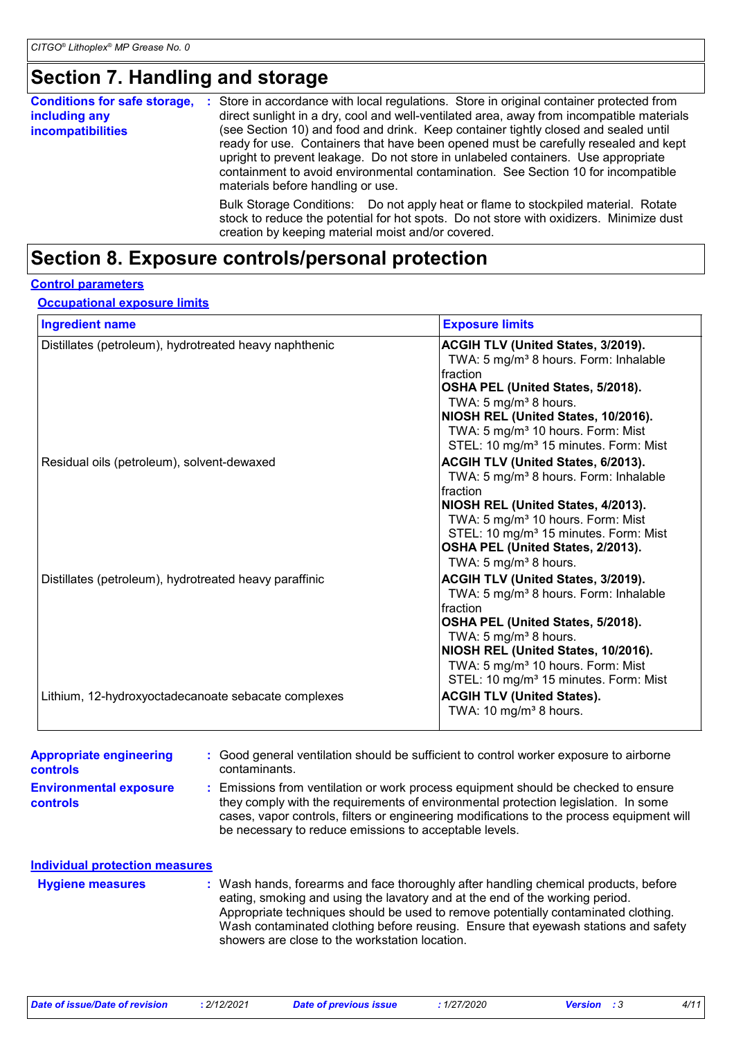# **Section 7. Handling and storage**

| <b>Conditions for safe storage,</b><br>including any<br><i>incompatibilities</i> | Store in accordance with local regulations. Store in original container protected from<br>direct sunlight in a dry, cool and well-ventilated area, away from incompatible materials<br>(see Section 10) and food and drink. Keep container tightly closed and sealed until<br>ready for use. Containers that have been opened must be carefully resealed and kept<br>upright to prevent leakage. Do not store in unlabeled containers. Use appropriate<br>containment to avoid environmental contamination. See Section 10 for incompatible<br>materials before handling or use. |
|----------------------------------------------------------------------------------|----------------------------------------------------------------------------------------------------------------------------------------------------------------------------------------------------------------------------------------------------------------------------------------------------------------------------------------------------------------------------------------------------------------------------------------------------------------------------------------------------------------------------------------------------------------------------------|
|                                                                                  | Bulk Storage Conditions: Do not apply heat or flame to stockpiled material. Rotate<br>stock to reduce the potential for hot spots. Do not store with oxidizers. Minimize dust<br>creation by keeping material moist and/or covered.                                                                                                                                                                                                                                                                                                                                              |

### **Section 8. Exposure controls/personal protection**

#### **Control parameters**

#### **Occupational exposure limits**

| <b>Ingredient name</b>                                 | <b>Exposure limits</b>                                                                                                                                                                                                                                                                                                             |
|--------------------------------------------------------|------------------------------------------------------------------------------------------------------------------------------------------------------------------------------------------------------------------------------------------------------------------------------------------------------------------------------------|
| Distillates (petroleum), hydrotreated heavy naphthenic | ACGIH TLV (United States, 3/2019).<br>TWA: 5 mg/m <sup>3</sup> 8 hours. Form: Inhalable<br>Ifraction<br>OSHA PEL (United States, 5/2018).<br>TWA: 5 mg/m <sup>3</sup> 8 hours.<br>NIOSH REL (United States, 10/2016).<br>TWA: 5 mg/m <sup>3</sup> 10 hours. Form: Mist<br>STEL: 10 mg/m <sup>3</sup> 15 minutes. Form: Mist        |
| Residual oils (petroleum), solvent-dewaxed             | ACGIH TLV (United States, 6/2013).<br>TWA: 5 mg/m <sup>3</sup> 8 hours. Form: Inhalable<br><b>I</b> fraction<br>NIOSH REL (United States, 4/2013).<br>TWA: 5 mg/m <sup>3</sup> 10 hours. Form: Mist<br>STEL: 10 mg/m <sup>3</sup> 15 minutes. Form: Mist<br>OSHA PEL (United States, 2/2013).<br>TWA: 5 mg/m <sup>3</sup> 8 hours. |
| Distillates (petroleum), hydrotreated heavy paraffinic | ACGIH TLV (United States, 3/2019).<br>TWA: 5 mg/m <sup>3</sup> 8 hours. Form: Inhalable<br>fraction<br>OSHA PEL (United States, 5/2018).<br>TWA: 5 mg/m <sup>3</sup> 8 hours.<br>NIOSH REL (United States, 10/2016).<br>TWA: 5 mg/m <sup>3</sup> 10 hours. Form: Mist<br>STEL: 10 mg/m <sup>3</sup> 15 minutes. Form: Mist         |
| Lithium, 12-hydroxyoctadecanoate sebacate complexes    | <b>ACGIH TLV (United States).</b><br>TWA: 10 mg/m <sup>3</sup> 8 hours.                                                                                                                                                                                                                                                            |

| <b>Appropriate engineering</b><br><b>controls</b> | : Good general ventilation should be sufficient to control worker exposure to airborne<br>contaminants.                                                                                                                                                                                                                                         |
|---------------------------------------------------|-------------------------------------------------------------------------------------------------------------------------------------------------------------------------------------------------------------------------------------------------------------------------------------------------------------------------------------------------|
| <b>Environmental exposure</b><br><b>controls</b>  | : Emissions from ventilation or work process equipment should be checked to ensure<br>they comply with the requirements of environmental protection legislation. In some<br>cases, vapor controls, filters or engineering modifications to the process equipment will<br>be necessary to reduce emissions to acceptable levels.                 |
| <b>Individual protection measures</b>             |                                                                                                                                                                                                                                                                                                                                                 |
| <b>Hygiene measures</b>                           | : Wash hands, forearms and face thoroughly after handling chemical products, before<br>eating, smoking and using the lavatory and at the end of the working period.<br>Appropriate techniques should be used to remove potentially contaminated clothing.<br>Wash contaminated clothing before reusing. Ensure that eyewash stations and safety |

showers are close to the workstation location.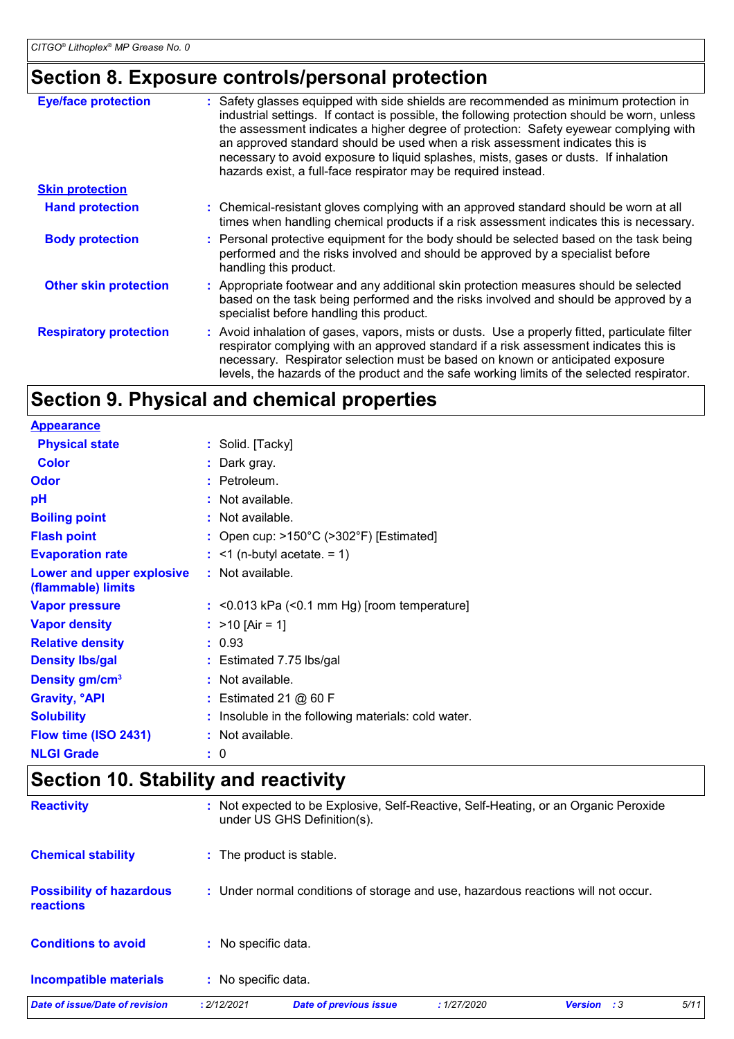# **Section 8. Exposure controls/personal protection**

| <b>Eye/face protection</b>    | : Safety glasses equipped with side shields are recommended as minimum protection in<br>industrial settings. If contact is possible, the following protection should be worn, unless<br>the assessment indicates a higher degree of protection: Safety eyewear complying with<br>an approved standard should be used when a risk assessment indicates this is<br>necessary to avoid exposure to liquid splashes, mists, gases or dusts. If inhalation<br>hazards exist, a full-face respirator may be required instead. |
|-------------------------------|-------------------------------------------------------------------------------------------------------------------------------------------------------------------------------------------------------------------------------------------------------------------------------------------------------------------------------------------------------------------------------------------------------------------------------------------------------------------------------------------------------------------------|
| <b>Skin protection</b>        |                                                                                                                                                                                                                                                                                                                                                                                                                                                                                                                         |
| <b>Hand protection</b>        | : Chemical-resistant gloves complying with an approved standard should be worn at all<br>times when handling chemical products if a risk assessment indicates this is necessary.                                                                                                                                                                                                                                                                                                                                        |
| <b>Body protection</b>        | : Personal protective equipment for the body should be selected based on the task being<br>performed and the risks involved and should be approved by a specialist before<br>handling this product.                                                                                                                                                                                                                                                                                                                     |
| <b>Other skin protection</b>  | : Appropriate footwear and any additional skin protection measures should be selected<br>based on the task being performed and the risks involved and should be approved by a<br>specialist before handling this product.                                                                                                                                                                                                                                                                                               |
| <b>Respiratory protection</b> | : Avoid inhalation of gases, vapors, mists or dusts. Use a properly fitted, particulate filter<br>respirator complying with an approved standard if a risk assessment indicates this is<br>necessary. Respirator selection must be based on known or anticipated exposure<br>levels, the hazards of the product and the safe working limits of the selected respirator.                                                                                                                                                 |

# **Section 9. Physical and chemical properties**

| <b>Appearance</b>                               |                                                            |
|-------------------------------------------------|------------------------------------------------------------|
| <b>Physical state</b>                           | : Solid. [Tacky]                                           |
| <b>Color</b>                                    | Dark gray.                                                 |
| Odor                                            | Petroleum.                                                 |
| рH                                              | Not available.                                             |
| <b>Boiling point</b>                            | Not available.                                             |
| <b>Flash point</b>                              | Open cup: $>150^{\circ}$ C ( $>302^{\circ}$ F) [Estimated] |
| <b>Evaporation rate</b>                         | $:$ <1 (n-butyl acetate. = 1)                              |
| Lower and upper explosive<br>(flammable) limits | : Not available.                                           |
| <b>Vapor pressure</b>                           | $:$ <0.013 kPa (<0.1 mm Hg) [room temperature]             |
| <b>Vapor density</b>                            | : $>10$ [Air = 1]                                          |
| <b>Relative density</b>                         | : 0.93                                                     |
| <b>Density Ibs/gal</b>                          | $:$ Estimated 7.75 lbs/gal                                 |
| Density gm/cm <sup>3</sup>                      | Not available.                                             |
| <b>Gravity, <sup>o</sup>API</b>                 | : Estimated 21 $@$ 60 F                                    |
| <b>Solubility</b>                               | Insoluble in the following materials: cold water.          |
| Flow time (ISO 2431)                            | Not available.                                             |
| <b>NLGI Grade</b>                               | 0<br>t                                                     |

# **Section 10. Stability and reactivity**

| Date of issue/Date of revision               | : 2/12/2021<br><b>Date of previous issue</b>                                      | : 1/27/2020                                                                         | <b>Version</b> :3 | 5/11 |
|----------------------------------------------|-----------------------------------------------------------------------------------|-------------------------------------------------------------------------------------|-------------------|------|
| <b>Incompatible materials</b>                | : No specific data.                                                               |                                                                                     |                   |      |
| <b>Conditions to avoid</b>                   | : No specific data.                                                               |                                                                                     |                   |      |
| <b>Possibility of hazardous</b><br>reactions | : Under normal conditions of storage and use, hazardous reactions will not occur. |                                                                                     |                   |      |
| <b>Chemical stability</b>                    | : The product is stable.                                                          |                                                                                     |                   |      |
| <b>Reactivity</b>                            | under US GHS Definition(s).                                                       | : Not expected to be Explosive, Self-Reactive, Self-Heating, or an Organic Peroxide |                   |      |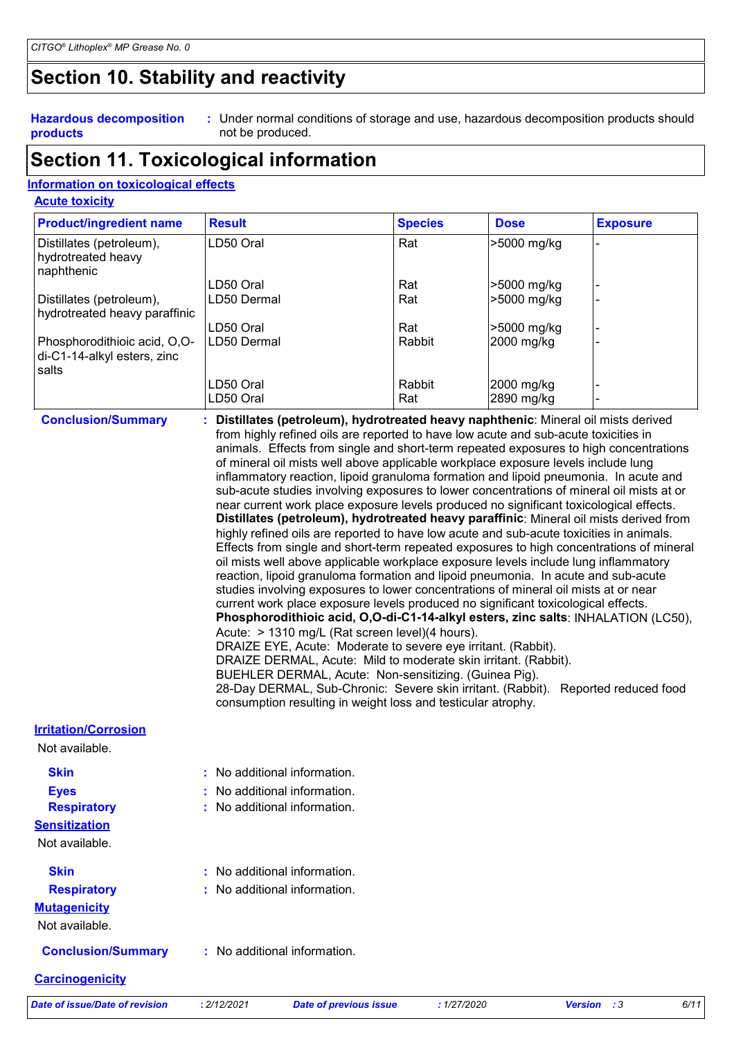### **Section 10. Stability and reactivity**

#### **Hazardous decomposition products**

Under normal conditions of storage and use, hazardous decomposition products should **:** not be produced.

### **Section 11. Toxicological information**

#### **Information on toxicological effects**

| <b>Acute toxicity</b> |
|-----------------------|
|                       |

| <b>Product/ingredient name</b>                                       | <b>Result</b> | <b>Species</b> | <b>Dose</b> | <b>Exposure</b> |
|----------------------------------------------------------------------|---------------|----------------|-------------|-----------------|
| Distillates (petroleum),<br>hydrotreated heavy<br>naphthenic         | LD50 Oral     | Rat            | >5000 mg/kg |                 |
|                                                                      | LD50 Oral     | Rat            | >5000 mg/kg |                 |
| Distillates (petroleum),<br>hydrotreated heavy paraffinic            | LD50 Dermal   | Rat            | >5000 mg/kg |                 |
|                                                                      | LD50 Oral     | Rat            | >5000 mg/kg |                 |
| Phosphorodithioic acid, O,O-<br>di-C1-14-alkyl esters, zinc<br>salts | ILD50 Dermal  | Rabbit         | 2000 mg/kg  |                 |
|                                                                      | LD50 Oral     | Rabbit         | 2000 mg/kg  |                 |
|                                                                      | LD50 Oral     | Rat            | 2890 mg/kg  |                 |

**Conclusion/Summary : Distillates (petroleum), hydrotreated heavy naphthenic**: Mineral oil mists derived from highly refined oils are reported to have low acute and sub-acute toxicities in animals. Effects from single and short-term repeated exposures to high concentrations of mineral oil mists well above applicable workplace exposure levels include lung inflammatory reaction, lipoid granuloma formation and lipoid pneumonia. In acute and sub-acute studies involving exposures to lower concentrations of mineral oil mists at or near current work place exposure levels produced no significant toxicological effects. **Distillates (petroleum), hydrotreated heavy paraffinic**: Mineral oil mists derived from highly refined oils are reported to have low acute and sub-acute toxicities in animals. Effects from single and short-term repeated exposures to high concentrations of mineral oil mists well above applicable workplace exposure levels include lung inflammatory reaction, lipoid granuloma formation and lipoid pneumonia. In acute and sub-acute studies involving exposures to lower concentrations of mineral oil mists at or near current work place exposure levels produced no significant toxicological effects. **Phosphorodithioic acid, O,O-di-C1-14-alkyl esters, zinc salts**: INHALATION (LC50), Acute: > 1310 mg/L (Rat screen level)(4 hours). DRAIZE EYE, Acute: Moderate to severe eye irritant. (Rabbit). DRAIZE DERMAL, Acute: Mild to moderate skin irritant. (Rabbit). BUEHLER DERMAL, Acute: Non-sensitizing. (Guinea Pig).

28-Day DERMAL, Sub-Chronic: Severe skin irritant. (Rabbit). Reported reduced food consumption resulting in weight loss and testicular atrophy.

**Irritation/Corrosion**

Not available.

**Skin Eyes**

- **:** No additional information.
	- **:** No additional information.
	- **:** No additional information.

**:** No additional information. **:** No additional information.

**Sensitization**

Not available.

**Respiratory**

- **Skin**
- **Respiratory**

**Mutagenicity**

Not available.

**Conclusion/Summary :** No additional information.

#### **Carcinogenicity**

*Date of issue/Date of revision* **:** *2/12/2021 Date of previous issue : 1/27/2020 Version : 3 6/11*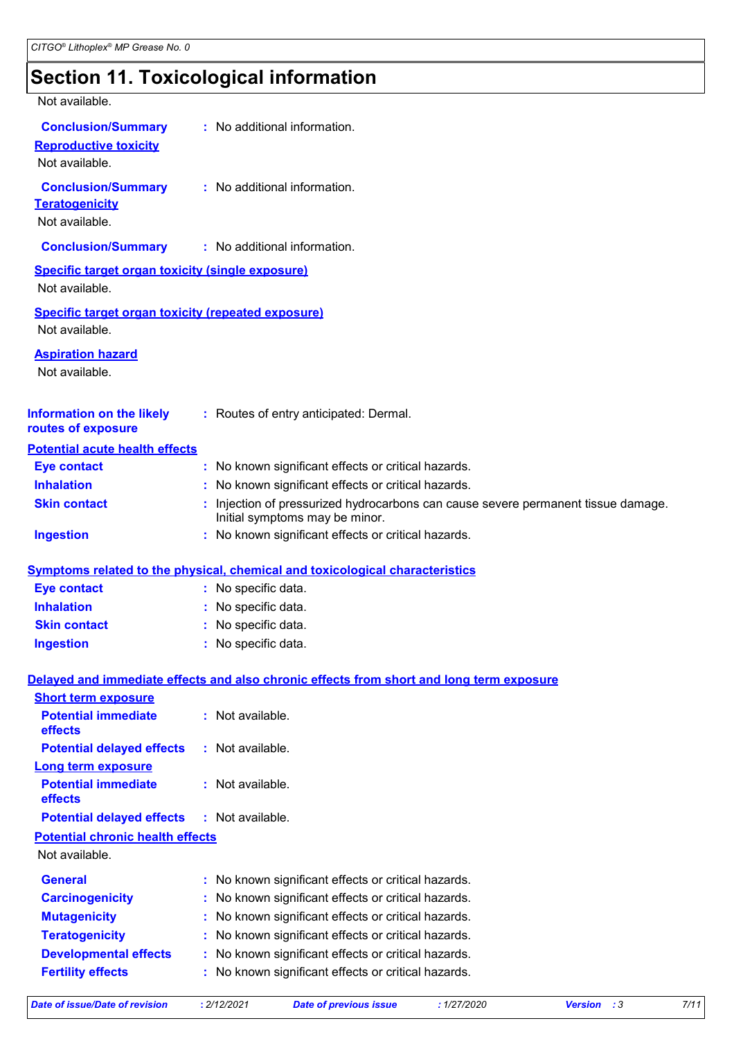# **Section 11. Toxicological information**

| Not available.                                                              |                                                                                                                   |
|-----------------------------------------------------------------------------|-------------------------------------------------------------------------------------------------------------------|
| <b>Conclusion/Summary</b>                                                   | : No additional information.                                                                                      |
| <b>Reproductive toxicity</b>                                                |                                                                                                                   |
| Not available.                                                              |                                                                                                                   |
| <b>Conclusion/Summary</b>                                                   | : No additional information.                                                                                      |
| <b>Teratogenicity</b>                                                       |                                                                                                                   |
| Not available.                                                              |                                                                                                                   |
| <b>Conclusion/Summary</b>                                                   | : No additional information.                                                                                      |
| <b>Specific target organ toxicity (single exposure)</b>                     |                                                                                                                   |
| Not available.                                                              |                                                                                                                   |
| <b>Specific target organ toxicity (repeated exposure)</b><br>Not available. |                                                                                                                   |
| <b>Aspiration hazard</b>                                                    |                                                                                                                   |
| Not available.                                                              |                                                                                                                   |
|                                                                             |                                                                                                                   |
| <b>Information on the likely</b>                                            | : Routes of entry anticipated: Dermal.                                                                            |
| routes of exposure                                                          |                                                                                                                   |
| <b>Potential acute health effects</b>                                       |                                                                                                                   |
| <b>Eye contact</b>                                                          | : No known significant effects or critical hazards.                                                               |
| <b>Inhalation</b>                                                           | No known significant effects or critical hazards.                                                                 |
| <b>Skin contact</b>                                                         | Injection of pressurized hydrocarbons can cause severe permanent tissue damage.<br>Initial symptoms may be minor. |
| <b>Ingestion</b>                                                            | : No known significant effects or critical hazards.                                                               |
|                                                                             |                                                                                                                   |
|                                                                             | <b>Symptoms related to the physical, chemical and toxicological characteristics</b>                               |
| <b>Eye contact</b>                                                          | No specific data.                                                                                                 |
| <b>Inhalation</b>                                                           | No specific data.                                                                                                 |
| <b>Skin contact</b>                                                         | No specific data.                                                                                                 |
| <b>Ingestion</b>                                                            | No specific data.                                                                                                 |
|                                                                             | Delayed and immediate effects and also chronic effects from short and long term exposure                          |
| <b>Short term exposure</b>                                                  |                                                                                                                   |
| <b>Potential immediate</b><br>effects                                       | : Not available.                                                                                                  |
| <b>Potential delayed effects</b>                                            | : Not available.                                                                                                  |
| Long term exposure                                                          |                                                                                                                   |
| <b>Potential immediate</b><br>effects                                       | Not available.                                                                                                    |
| <b>Potential delayed effects</b>                                            | : Not available.                                                                                                  |
| <b>Potential chronic health effects</b>                                     |                                                                                                                   |
| Not available.                                                              |                                                                                                                   |
| <b>General</b>                                                              | No known significant effects or critical hazards.<br>t                                                            |
| <b>Carcinogenicity</b>                                                      | No known significant effects or critical hazards.                                                                 |
| <b>Mutagenicity</b>                                                         | No known significant effects or critical hazards.                                                                 |
| <b>Teratogenicity</b>                                                       | No known significant effects or critical hazards.                                                                 |
| <b>Developmental effects</b>                                                | No known significant effects or critical hazards.                                                                 |
| <b>Fertility effects</b>                                                    | No known significant effects or critical hazards.                                                                 |
|                                                                             |                                                                                                                   |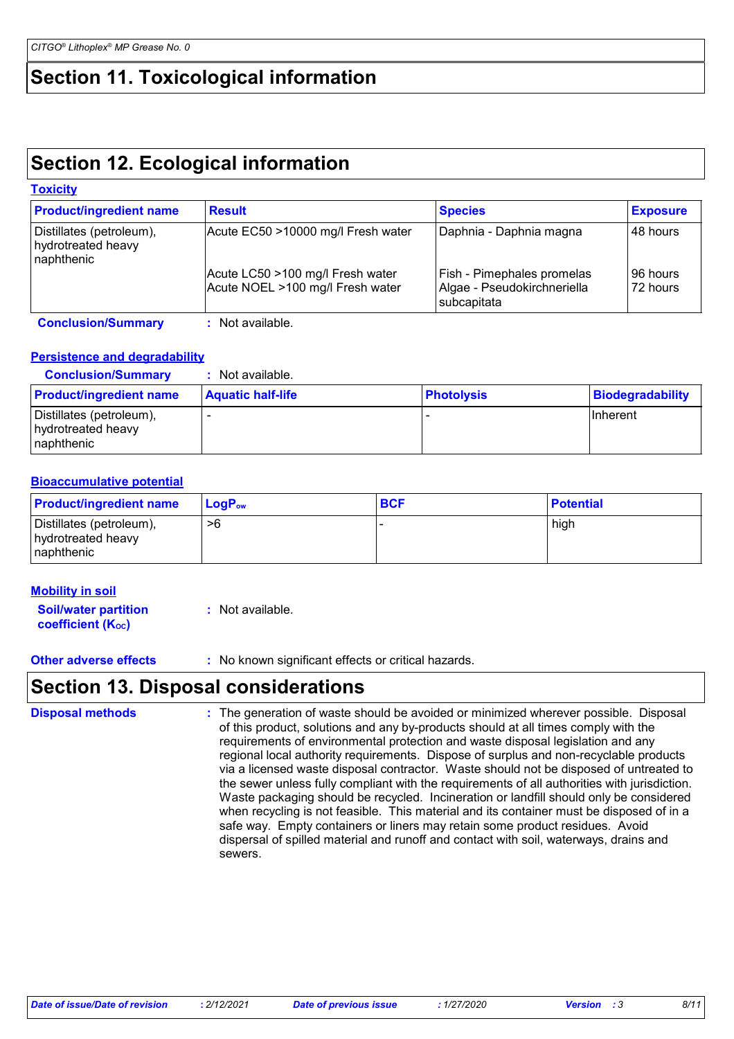### **Section 11. Toxicological information**

### **Section 12. Ecological information**

| <b>Toxicity</b>                                              |                                                                      |                                                                          |                      |
|--------------------------------------------------------------|----------------------------------------------------------------------|--------------------------------------------------------------------------|----------------------|
| <b>Product/ingredient name</b>                               | <b>Result</b>                                                        | <b>Species</b>                                                           | <b>Exposure</b>      |
| Distillates (petroleum),<br>hydrotreated heavy<br>naphthenic | Acute EC50 >10000 mg/l Fresh water                                   | Daphnia - Daphnia magna                                                  | 48 hours             |
|                                                              | Acute LC50 >100 mg/l Fresh water<br>Acute NOEL >100 mg/l Fresh water | Fish - Pimephales promelas<br>Algae - Pseudokirchneriella<br>subcapitata | 96 hours<br>72 hours |
| <b>Conclusion/Summary</b>                                    | : Not available.                                                     |                                                                          |                      |

### **Persistence and degradability**

| <b>Conclusion/Summary</b> | : Not available. |
|---------------------------|------------------|
|                           |                  |

| <b>Product/ingredient name</b>                                | <b>Aquatic half-life</b> | <b>Photolysis</b> | Biodegradability |  |
|---------------------------------------------------------------|--------------------------|-------------------|------------------|--|
| Distillates (petroleum),<br>hydrotreated heavy<br>Inaphthenic |                          |                   | <b>Ilnherent</b> |  |

#### **Bioaccumulative potential**

| <b>Product/ingredient name</b>                               | $LogP_{ow}$ | <b>BCF</b> | <b>Potential</b> |
|--------------------------------------------------------------|-------------|------------|------------------|
| Distillates (petroleum),<br>hydrotreated heavy<br>naphthenic | >6          |            | high             |

| <b>Mobility in soil</b>                                 |                    |
|---------------------------------------------------------|--------------------|
| <b>Soil/water partition</b><br><b>coefficient (Koc)</b> | $:$ Not available. |

**Other adverse effects** : No known significant effects or critical hazards.

### **Section 13. Disposal considerations**

The generation of waste should be avoided or minimized wherever possible. Disposal of this product, solutions and any by-products should at all times comply with the requirements of environmental protection and waste disposal legislation and any regional local authority requirements. Dispose of surplus and non-recyclable products via a licensed waste disposal contractor. Waste should not be disposed of untreated to the sewer unless fully compliant with the requirements of all authorities with jurisdiction. Waste packaging should be recycled. Incineration or landfill should only be considered when recycling is not feasible. This material and its container must be disposed of in a safe way. Empty containers or liners may retain some product residues. Avoid dispersal of spilled material and runoff and contact with soil, waterways, drains and sewers. **Disposal methods :**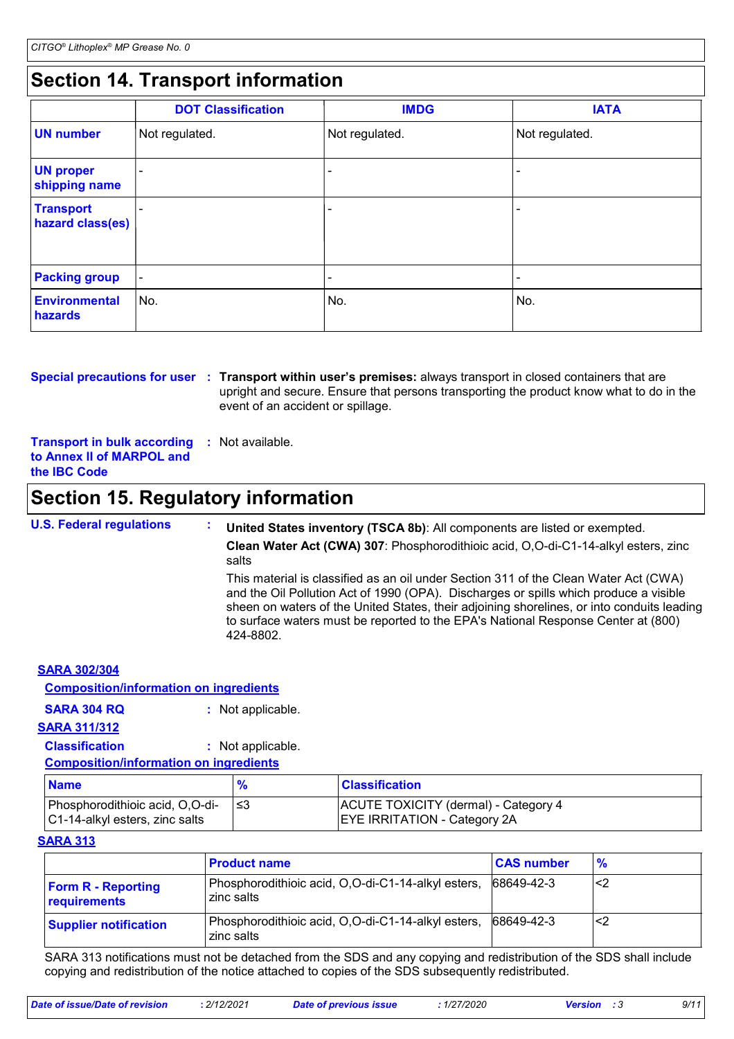### **Section 14. Transport information**

|                                      | <b>DOT Classification</b> | <b>IMDG</b>              | <b>IATA</b>              |
|--------------------------------------|---------------------------|--------------------------|--------------------------|
| <b>UN number</b>                     | Not regulated.            | Not regulated.           | Not regulated.           |
| <b>UN proper</b><br>shipping name    |                           |                          |                          |
| <b>Transport</b><br>hazard class(es) |                           |                          |                          |
| <b>Packing group</b>                 | $\overline{\phantom{a}}$  | $\overline{\phantom{a}}$ | $\overline{\phantom{a}}$ |
| Environmental<br>hazards             | No.                       | No.                      | No.                      |

**Special precautions for user** : Transport within user's premises: always transport in closed containers that are upright and secure. Ensure that persons transporting the product know what to do in the event of an accident or spillage.

**Transport in bulk according to Annex II of MARPOL and the IBC Code :** Not available.

### **Section 15. Regulatory information**

#### **U.S. Federal regulations :**

### **United States inventory (TSCA 8b)**: All components are listed or exempted.

**Clean Water Act (CWA) 307**: Phosphorodithioic acid, O,O-di-C1-14-alkyl esters, zinc salts

This material is classified as an oil under Section 311 of the Clean Water Act (CWA) and the Oil Pollution Act of 1990 (OPA). Discharges or spills which produce a visible sheen on waters of the United States, their adjoining shorelines, or into conduits leading to surface waters must be reported to the EPA's National Response Center at (800) 424-8802.

#### **SARA 302/304**

#### **Composition/information on ingredients**

**SARA 304 RQ :** Not applicable.

#### **SARA 311/312**

### **Classification :** Not applicable.

#### **Composition/information on ingredients**

| <b>Name</b>                                                                  | $\frac{1}{2}$ | <b>Classification</b>                                                       |
|------------------------------------------------------------------------------|---------------|-----------------------------------------------------------------------------|
| Phosphorodithioic acid, O,O-di- $  \leq 3$<br>C1-14-alkyl esters, zinc salts |               | ACUTE TOXICITY (dermal) - Category 4<br><b>EYE IRRITATION - Category 2A</b> |

#### **SARA 313**

|                                           | <b>Product name</b>                                              | <b>CAS number</b> | $\frac{9}{6}$ |
|-------------------------------------------|------------------------------------------------------------------|-------------------|---------------|
| <b>Form R - Reporting</b><br>requirements | Phosphorodithioic acid, O,O-di-C1-14-alkyl esters,<br>zinc salts | 68649-42-3        | -<2           |
| <b>Supplier notification</b>              | Phosphorodithioic acid, O,O-di-C1-14-alkyl esters,<br>zinc salts | 68649-42-3        |               |

SARA 313 notifications must not be detached from the SDS and any copying and redistribution of the SDS shall include copying and redistribution of the notice attached to copies of the SDS subsequently redistributed.

| . 2/12/2021<br>Date of issue/Date of revision<br>1/27/2020<br>Date of previous issue<br><b>Version</b> : 3 |  |
|------------------------------------------------------------------------------------------------------------|--|
|------------------------------------------------------------------------------------------------------------|--|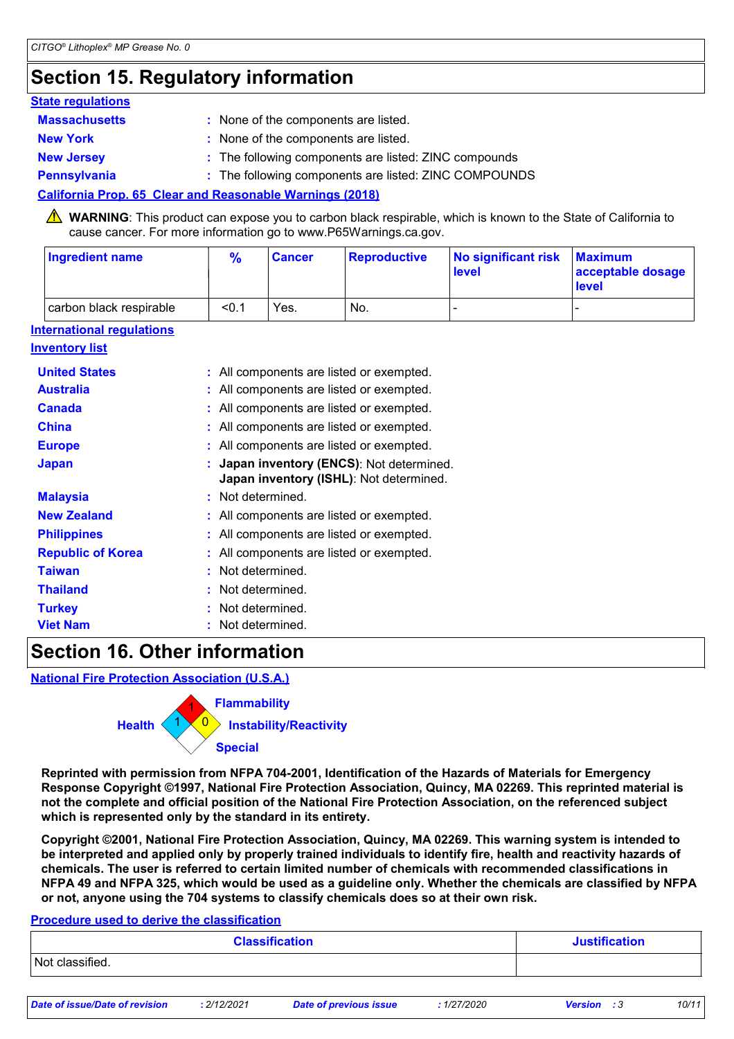### **Section 15. Regulatory information**

| <b>State requlations</b> |                                                                                             |
|--------------------------|---------------------------------------------------------------------------------------------|
| <b>Massachusetts</b>     | : None of the components are listed.                                                        |
| <b>New York</b>          | : None of the components are listed.                                                        |
| <b>New Jersey</b>        | : The following components are listed: ZINC compounds                                       |
| Pennsylvania             | : The following components are listed: ZINC COMPOUNDS                                       |
|                          | $\mathbf{A}$ if $\mathbf{B}$ as $\mathbf{A}$ is a set of the set of the set of $\mathbf{A}$ |

**California Prop. 65 Clear and Reasonable Warnings (2018)**

WARNING: This product can expose you to carbon black respirable, which is known to the State of California to cause cancer. For more information go to www.P65Warnings.ca.gov.

| Ingredient name         | $\%$  | <b>Cancer</b> | <b>Reproductive</b> | No significant risk<br><b>level</b> | <b>Maximum</b><br>acceptable dosage<br>level |
|-------------------------|-------|---------------|---------------------|-------------------------------------|----------------------------------------------|
| carbon black respirable | < 0.1 | Yes.          | No.                 |                                     |                                              |

#### **International regulations**

#### **Inventory list**

| <b>United States</b>     | : All components are listed or exempted.                                           |
|--------------------------|------------------------------------------------------------------------------------|
| Australia                | All components are listed or exempted.                                             |
| <b>Canada</b>            | All components are listed or exempted.                                             |
| <b>China</b>             | All components are listed or exempted.                                             |
| <b>Europe</b>            | All components are listed or exempted.                                             |
| <b>Japan</b>             | Japan inventory (ENCS): Not determined.<br>Japan inventory (ISHL): Not determined. |
| <b>Malaysia</b>          | Not determined.                                                                    |
| <b>New Zealand</b>       | All components are listed or exempted.                                             |
| <b>Philippines</b>       | All components are listed or exempted.                                             |
| <b>Republic of Korea</b> | All components are listed or exempted.                                             |
| <b>Taiwan</b>            | Not determined.                                                                    |
| <b>Thailand</b>          | Not determined.                                                                    |
| <b>Turkey</b>            | Not determined.                                                                    |
| <b>Viet Nam</b>          | Not determined.                                                                    |

### **Section 16. Other information**

**National Fire Protection Association (U.S.A.)**



**Reprinted with permission from NFPA 704-2001, Identification of the Hazards of Materials for Emergency Response Copyright ©1997, National Fire Protection Association, Quincy, MA 02269. This reprinted material is not the complete and official position of the National Fire Protection Association, on the referenced subject which is represented only by the standard in its entirety.**

**Copyright ©2001, National Fire Protection Association, Quincy, MA 02269. This warning system is intended to be interpreted and applied only by properly trained individuals to identify fire, health and reactivity hazards of chemicals. The user is referred to certain limited number of chemicals with recommended classifications in NFPA 49 and NFPA 325, which would be used as a guideline only. Whether the chemicals are classified by NFPA or not, anyone using the 704 systems to classify chemicals does so at their own risk.**

### **Procedure used to derive the classification**

| <b>Classification</b> | <b>Justification</b> |
|-----------------------|----------------------|
| Not classified.       |                      |